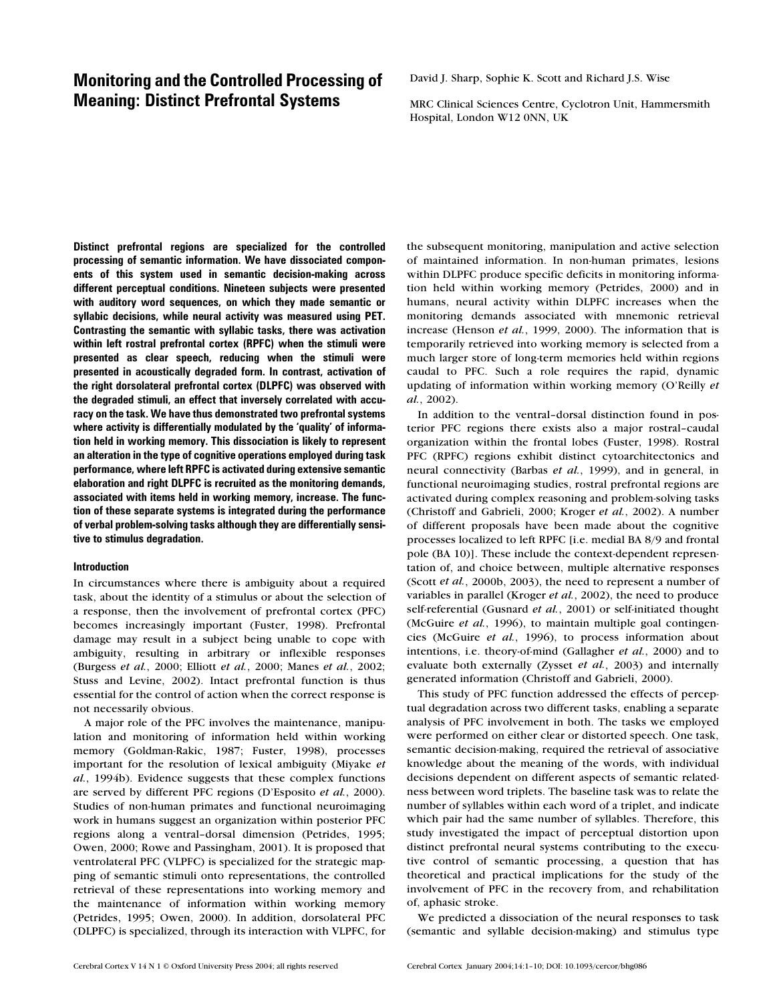# **Monitoring and the Controlled Processing of Meaning: Distinct Prefrontal Systems**

David J. Sharp, Sophie K. Scott and Richard J.S. Wise

MRC Clinical Sciences Centre, Cyclotron Unit, Hammersmith Hospital, London W12 0NN, UK

**Distinct prefrontal regions are specialized for the controlled processing of semantic information. We have dissociated components of this system used in semantic decision-making across different perceptual conditions. Nineteen subjects were presented with auditory word sequences, on which they made semantic or syllabic decisions, while neural activity was measured using PET. Contrasting the semantic with syllabic tasks, there was activation within left rostral prefrontal cortex (RPFC) when the stimuli were presented as clear speech, reducing when the stimuli were presented in acoustically degraded form. In contrast, activation of the right dorsolateral prefrontal cortex (DLPFC) was observed with the degraded stimuli, an effect that inversely correlated with accuracy on the task. We have thus demonstrated two prefrontal systems where activity is differentially modulated by the 'quality' of information held in working memory. This dissociation is likely to represent an alteration in the type of cognitive operations employed during task performance, where left RPFC is activated during extensive semantic elaboration and right DLPFC is recruited as the monitoring demands, associated with items held in working memory, increase. The function of these separate systems is integrated during the performance of verbal problem-solving tasks although they are differentially sensitive to stimulus degradation.**

# **Introduction**

In circumstances where there is ambiguity about a required task, about the identity of a stimulus or about the selection of a response, then the involvement of prefrontal cortex (PFC) becomes increasingly important (Fuster, 1998). Prefrontal damage may result in a subject being unable to cope with ambiguity, resulting in arbitrary or inflexible responses (Burgess *et al.*, 2000; Elliott *et al.*, 2000; Manes *et al.*, 2002; Stuss and Levine, 2002). Intact prefrontal function is thus essential for the control of action when the correct response is not necessarily obvious.

A major role of the PFC involves the maintenance, manipulation and monitoring of information held within working memory (Goldman-Rakic, 1987; Fuster, 1998), processes important for the resolution of lexical ambiguity (Miyake *et al.*, 1994b). Evidence suggests that these complex functions are served by different PFC regions (D'Esposito *et al.*, 2000). Studies of non-human primates and functional neuroimaging work in humans suggest an organization within posterior PFC regions along a ventral–dorsal dimension (Petrides, 1995; Owen, 2000; Rowe and Passingham, 2001). It is proposed that ventrolateral PFC (VLPFC) is specialized for the strategic mapping of semantic stimuli onto representations, the controlled retrieval of these representations into working memory and the maintenance of information within working memory (Petrides, 1995; Owen, 2000). In addition, dorsolateral PFC (DLPFC) is specialized, through its interaction with VLPFC, for

the subsequent monitoring, manipulation and active selection of maintained information. In non-human primates, lesions within DLPFC produce specific deficits in monitoring information held within working memory (Petrides, 2000) and in humans, neural activity within DLPFC increases when the monitoring demands associated with mnemonic retrieval increase (Henson *et al.*, 1999, 2000). The information that is temporarily retrieved into working memory is selected from a much larger store of long-term memories held within regions caudal to PFC. Such a role requires the rapid, dynamic updating of information within working memory (O'Reilly *et al.*, 2002).

In addition to the ventral–dorsal distinction found in posterior PFC regions there exists also a major rostral–caudal organization within the frontal lobes (Fuster, 1998). Rostral PFC (RPFC) regions exhibit distinct cytoarchitectonics and neural connectivity (Barbas *et al.*, 1999), and in general, in functional neuroimaging studies, rostral prefrontal regions are activated during complex reasoning and problem-solving tasks (Christoff and Gabrieli, 2000; Kroger *et al.*, 2002). A number of different proposals have been made about the cognitive processes localized to left RPFC [i.e. medial BA 8/9 and frontal pole (BA 10)]. These include the context-dependent representation of, and choice between, multiple alternative responses (Scott *et al.*, 2000b, 2003), the need to represent a number of variables in parallel (Kroger *et al.*, 2002), the need to produce self-referential (Gusnard *et al.*, 2001) or self-initiated thought (McGuire *et al.*, 1996), to maintain multiple goal contingencies (McGuire *et al.*, 1996), to process information about intentions, i.e. theory-of-mind (Gallagher *et al.*, 2000) and to evaluate both externally (Zysset *et al.*, 2003) and internally generated information (Christoff and Gabrieli, 2000).

This study of PFC function addressed the effects of perceptual degradation across two different tasks, enabling a separate analysis of PFC involvement in both. The tasks we employed were performed on either clear or distorted speech. One task, semantic decision-making, required the retrieval of associative knowledge about the meaning of the words, with individual decisions dependent on different aspects of semantic relatedness between word triplets. The baseline task was to relate the number of syllables within each word of a triplet, and indicate which pair had the same number of syllables. Therefore, this study investigated the impact of perceptual distortion upon distinct prefrontal neural systems contributing to the executive control of semantic processing, a question that has theoretical and practical implications for the study of the involvement of PFC in the recovery from, and rehabilitation of, aphasic stroke.

We predicted a dissociation of the neural responses to task (semantic and syllable decision-making) and stimulus type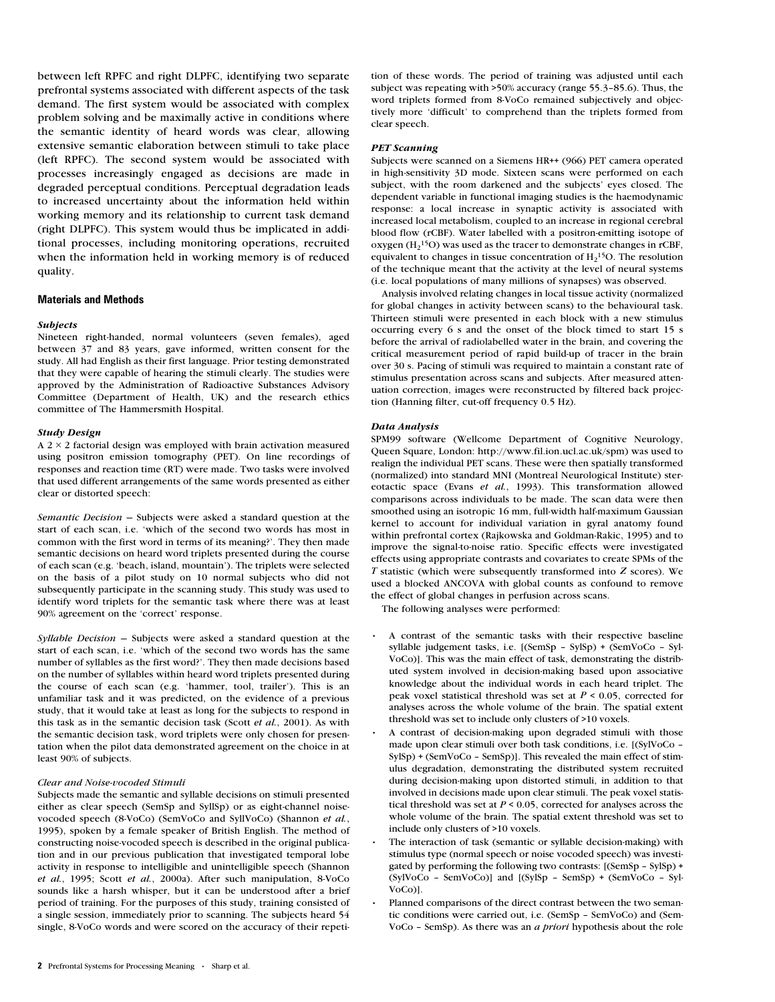between left RPFC and right DLPFC, identifying two separate prefrontal systems associated with different aspects of the task demand. The first system would be associated with complex problem solving and be maximally active in conditions where the semantic identity of heard words was clear, allowing extensive semantic elaboration between stimuli to take place (left RPFC). The second system would be associated with processes increasingly engaged as decisions are made in degraded perceptual conditions. Perceptual degradation leads to increased uncertainty about the information held within working memory and its relationship to current task demand (right DLPFC). This system would thus be implicated in additional processes, including monitoring operations, recruited when the information held in working memory is of reduced quality.

# **Materials and Methods**

#### *Subjects*

Nineteen right-handed, normal volunteers (seven females), aged between 37 and 83 years, gave informed, written consent for the study. All had English as their first language. Prior testing demonstrated that they were capable of hearing the stimuli clearly. The studies were approved by the Administration of Radioactive Substances Advisory Committee (Department of Health, UK) and the research ethics committee of The Hammersmith Hospital.

#### *Study Design*

 $A$  2  $\times$  2 factorial design was employed with brain activation measured using positron emission tomography (PET). On line recordings of responses and reaction time (RT) were made. Two tasks were involved that used different arrangements of the same words presented as either clear or distorted speech:

*Semantic Decision* — Subjects were asked a standard question at the start of each scan, i.e. 'which of the second two words has most in common with the first word in terms of its meaning?'. They then made semantic decisions on heard word triplets presented during the course of each scan (e.g. 'beach, island, mountain'). The triplets were selected on the basis of a pilot study on 10 normal subjects who did not subsequently participate in the scanning study. This study was used to identify word triplets for the semantic task where there was at least 90% agreement on the 'correct' response.

*Syllable Decision* — Subjects were asked a standard question at the start of each scan, i.e. 'which of the second two words has the same number of syllables as the first word?'. They then made decisions based on the number of syllables within heard word triplets presented during the course of each scan (e.g. 'hammer, tool, trailer'). This is an unfamiliar task and it was predicted, on the evidence of a previous study, that it would take at least as long for the subjects to respond in this task as in the semantic decision task (Scott *et al.*, 2001). As with the semantic decision task, word triplets were only chosen for presentation when the pilot data demonstrated agreement on the choice in at least 90% of subjects.

#### *Clear and Noise-vocoded Stimuli*

Subjects made the semantic and syllable decisions on stimuli presented either as clear speech (SemSp and SyllSp) or as eight-channel noisevocoded speech (8-VoCo) (SemVoCo and SyllVoCo) (Shannon *et al.*, 1995), spoken by a female speaker of British English. The method of constructing noise-vocoded speech is described in the original publication and in our previous publication that investigated temporal lobe activity in response to intelligible and unintelligible speech (Shannon *et al.*, 1995; Scott *et al.*, 2000a). After such manipulation, 8-VoCo sounds like a harsh whisper, but it can be understood after a brief period of training. For the purposes of this study, training consisted of a single session, immediately prior to scanning. The subjects heard 54 single, 8-VoCo words and were scored on the accuracy of their repeti-

tion of these words. The period of training was adjusted until each subject was repeating with >50% accuracy (range 55.3–85.6). Thus, the word triplets formed from 8-VoCo remained subjectively and objectively more 'difficult' to comprehend than the triplets formed from clear speech.

#### *PET Scanning*

Subjects were scanned on a Siemens HR++ (966) PET camera operated in high-sensitivity 3D mode. Sixteen scans were performed on each subject, with the room darkened and the subjects' eyes closed. The dependent variable in functional imaging studies is the haemodynamic response: a local increase in synaptic activity is associated with increased local metabolism, coupled to an increase in regional cerebral blood flow (rCBF). Water labelled with a positron-emitting isotope of  $oxygen (H<sub>2</sub><sup>15</sup>O) was used as the tracer to demonstrate changes in rCBF,$ equivalent to changes in tissue concentration of  $H_2$ <sup>15</sup>O. The resolution of the technique meant that the activity at the level of neural systems (i.e. local populations of many millions of synapses) was observed.

Analysis involved relating changes in local tissue activity (normalized for global changes in activity between scans) to the behavioural task. Thirteen stimuli were presented in each block with a new stimulus occurring every 6 s and the onset of the block timed to start 15 s before the arrival of radiolabelled water in the brain, and covering the critical measurement period of rapid build-up of tracer in the brain over 30 s. Pacing of stimuli was required to maintain a constant rate of stimulus presentation across scans and subjects. After measured attenuation correction, images were reconstructed by filtered back projection (Hanning filter, cut-off frequency 0.5 Hz).

#### *Data Analysis*

SPM99 software (Wellcome Department of Cognitive Neurology, Queen Square, London: http://www.fil.ion.ucl.ac.uk/spm) was used to realign the individual PET scans. These were then spatially transformed (normalized) into standard MNI (Montreal Neurological Institute) stereotactic space (Evans *et al.*, 1993). This transformation allowed comparisons across individuals to be made. The scan data were then smoothed using an isotropic 16 mm, full-width half-maximum Gaussian kernel to account for individual variation in gyral anatomy found within prefrontal cortex (Rajkowska and Goldman-Rakic, 1995) and to improve the signal-to-noise ratio. Specific effects were investigated effects using appropriate contrasts and covariates to create SPMs of the *T* statistic (which were subsequently transformed into *Z* scores). We used a blocked ANCOVA with global counts as confound to remove the effect of global changes in perfusion across scans.

The following analyses were performed:

- A contrast of the semantic tasks with their respective baseline syllable judgement tasks, i.e. [(SemSp – SylSp) + (SemVoCo – Syl-VoCo)]. This was the main effect of task, demonstrating the distributed system involved in decision-making based upon associative knowledge about the individual words in each heard triplet. The peak voxel statistical threshold was set at *P* < 0.05, corrected for analyses across the whole volume of the brain. The spatial extent threshold was set to include only clusters of >10 voxels.
- A contrast of decision-making upon degraded stimuli with those made upon clear stimuli over both task conditions, i.e. [(SylVoCo – SylSp) + (SemVoCo – SemSp)]. This revealed the main effect of stimulus degradation, demonstrating the distributed system recruited during decision-making upon distorted stimuli, in addition to that involved in decisions made upon clear stimuli. The peak voxel statistical threshold was set at  $P < 0.05$ , corrected for analyses across the whole volume of the brain. The spatial extent threshold was set to include only clusters of >10 voxels.
- The interaction of task (semantic or syllable decision-making) with stimulus type (normal speech or noise vocoded speech) was investigated by performing the following two contrasts: [(SemSp – SylSp) + (SylVoCo – SemVoCo)] and [(SylSp – SemSp) + (SemVoCo – Syl-VoCo)].
- Planned comparisons of the direct contrast between the two semantic conditions were carried out, i.e. (SemSp – SemVoCo) and (Sem-VoCo – SemSp). As there was an *a priori* hypothesis about the role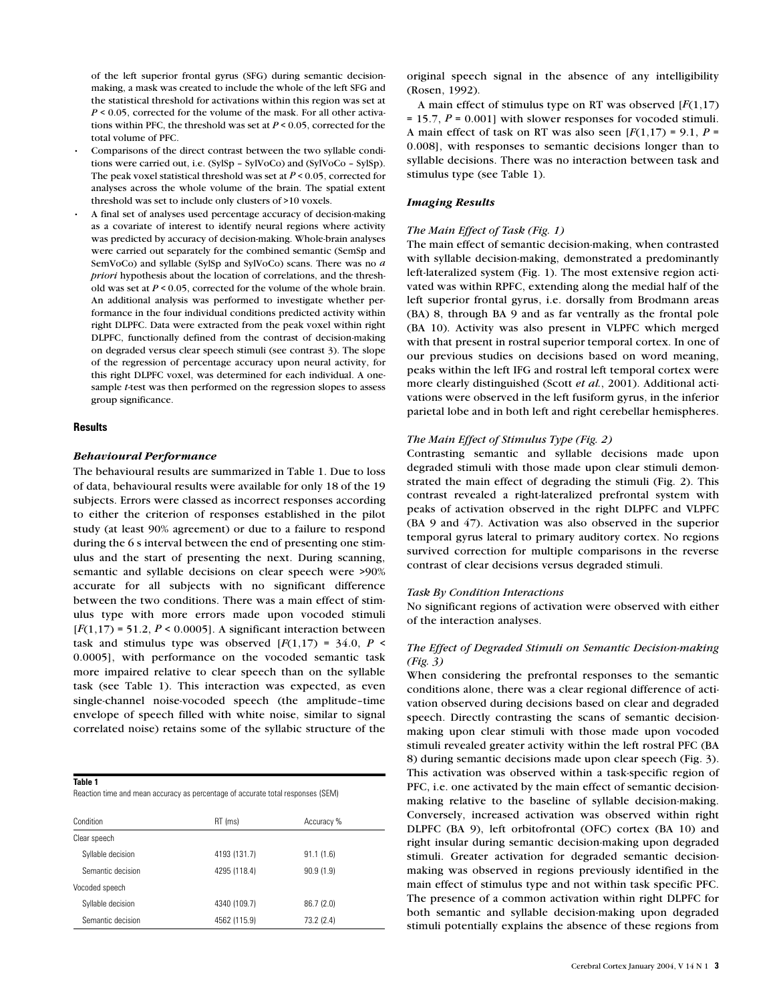of the left superior frontal gyrus (SFG) during semantic decisionmaking, a mask was created to include the whole of the left SFG and the statistical threshold for activations within this region was set at *P* < 0.05, corrected for the volume of the mask. For all other activations within PFC, the threshold was set at *P* < 0.05, corrected for the total volume of PFC.

- Comparisons of the direct contrast between the two syllable conditions were carried out, i.e. (SylSp – SylVoCo) and (SylVoCo – SylSp). The peak voxel statistical threshold was set at *P* < 0.05, corrected for analyses across the whole volume of the brain. The spatial extent threshold was set to include only clusters of >10 voxels.
- A final set of analyses used percentage accuracy of decision-making as a covariate of interest to identify neural regions where activity was predicted by accuracy of decision-making. Whole-brain analyses were carried out separately for the combined semantic (SemSp and SemVoCo) and syllable (SylSp and SylVoCo) scans. There was no *a priori* hypothesis about the location of correlations, and the threshold was set at *P* < 0.05, corrected for the volume of the whole brain. An additional analysis was performed to investigate whether performance in the four individual conditions predicted activity within right DLPFC. Data were extracted from the peak voxel within right DLPFC, functionally defined from the contrast of decision-making on degraded versus clear speech stimuli (see contrast 3). The slope of the regression of percentage accuracy upon neural activity, for this right DLPFC voxel, was determined for each individual. A onesample *t-*test was then performed on the regression slopes to assess group significance.

# **Results**

#### *Behavioural Performance*

The behavioural results are summarized in Table 1. Due to loss of data, behavioural results were available for only 18 of the 19 subjects. Errors were classed as incorrect responses according to either the criterion of responses established in the pilot study (at least 90% agreement) or due to a failure to respond during the 6 s interval between the end of presenting one stimulus and the start of presenting the next. During scanning, semantic and syllable decisions on clear speech were >90% accurate for all subjects with no significant difference between the two conditions. There was a main effect of stimulus type with more errors made upon vocoded stimuli  $[F(1,17) = 51.2, P < 0.0005]$ . A significant interaction between task and stimulus type was observed  $[F(1,17) = 34.0, P \le$ 0.0005], with performance on the vocoded semantic task more impaired relative to clear speech than on the syllable task (see Table 1). This interaction was expected, as even single-channel noise-vocoded speech (the amplitude–time envelope of speech filled with white noise, similar to signal correlated noise) retains some of the syllabic structure of the

**Table 1** 

Reaction time and mean accuracy as percentage of accurate total responses (SEM)

| Condition         | RT (ms)      | Accuracy % |
|-------------------|--------------|------------|
| Clear speech      |              |            |
| Syllable decision | 4193 (131.7) | 91.1(1.6)  |
| Semantic decision | 4295 (118.4) | 90.9(1.9)  |
| Vocoded speech    |              |            |
| Syllable decision | 4340 (109.7) | 86.7(2.0)  |
| Semantic decision | 4562 (115.9) | 73.2 (2.4) |

original speech signal in the absence of any intelligibility (Rosen, 1992).

A main effect of stimulus type on RT was observed [*F*(1,17) = 15.7, *P* = 0.001] with slower responses for vocoded stimuli. A main effect of task on RT was also seen  $[F(1,17) = 9.1, P =$ 0.008], with responses to semantic decisions longer than to syllable decisions. There was no interaction between task and stimulus type (see Table 1).

#### *Imaging Results*

# *The Main Effect of Task (Fig. 1)*

The main effect of semantic decision-making, when contrasted with syllable decision-making, demonstrated a predominantly left-lateralized system (Fig. 1). The most extensive region activated was within RPFC, extending along the medial half of the left superior frontal gyrus, i.e. dorsally from Brodmann areas (BA) 8, through BA 9 and as far ventrally as the frontal pole (BA 10). Activity was also present in VLPFC which merged with that present in rostral superior temporal cortex. In one of our previous studies on decisions based on word meaning, peaks within the left IFG and rostral left temporal cortex were more clearly distinguished (Scott *et al.*, 2001). Additional activations were observed in the left fusiform gyrus, in the inferior parietal lobe and in both left and right cerebellar hemispheres.

### *The Main Effect of Stimulus Type (Fig. 2)*

Contrasting semantic and syllable decisions made upon degraded stimuli with those made upon clear stimuli demonstrated the main effect of degrading the stimuli (Fig. 2). This contrast revealed a right-lateralized prefrontal system with peaks of activation observed in the right DLPFC and VLPFC (BA 9 and 47). Activation was also observed in the superior temporal gyrus lateral to primary auditory cortex. No regions survived correction for multiple comparisons in the reverse contrast of clear decisions versus degraded stimuli.

#### *Task By Condition Interactions*

No significant regions of activation were observed with either of the interaction analyses.

# *The Effect of Degraded Stimuli on Semantic Decision-making (Fig. 3)*

When considering the prefrontal responses to the semantic conditions alone, there was a clear regional difference of activation observed during decisions based on clear and degraded speech. Directly contrasting the scans of semantic decisionmaking upon clear stimuli with those made upon vocoded stimuli revealed greater activity within the left rostral PFC (BA 8) during semantic decisions made upon clear speech (Fig. 3). This activation was observed within a task-specific region of PFC, i.e. one activated by the main effect of semantic decisionmaking relative to the baseline of syllable decision-making. Conversely, increased activation was observed within right DLPFC (BA 9), left orbitofrontal (OFC) cortex (BA 10) and right insular during semantic decision-making upon degraded stimuli. Greater activation for degraded semantic decisionmaking was observed in regions previously identified in the main effect of stimulus type and not within task specific PFC. The presence of a common activation within right DLPFC for both semantic and syllable decision-making upon degraded stimuli potentially explains the absence of these regions from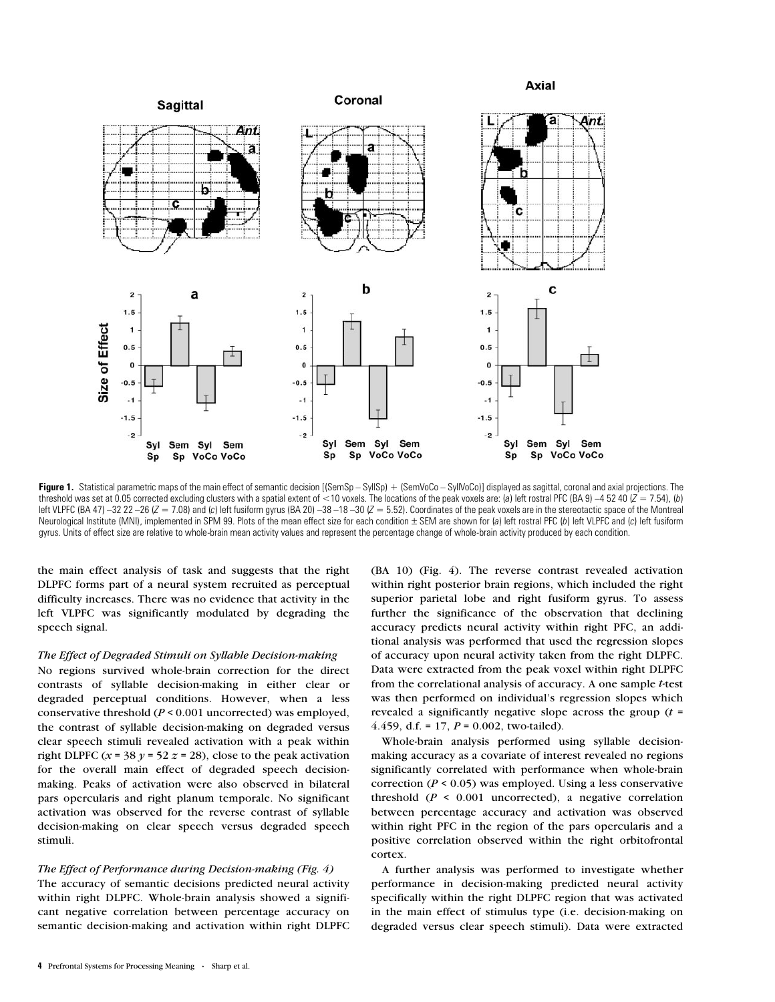

Figure 1. Statistical parametric maps of the main effect of semantic decision [(SemSp - SyllSp) + (SemVoCo - SyllVoCo)] displayed as sagittal, coronal and axial projections. The threshold was set at 0.05 corrected excluding clusters with a spatial extent of <10 voxels. The locations of the peak voxels are: (a) left rostral PFC (BA 9) -4 52 40 ( $Z = 7.54$ ), (b) left VLPFC (BA 47) –32 22 –26 ( $Z = 7.08$ ) and (c) left fusiform gyrus (BA 20) –38 –18 –30 ( $Z = 5.52$ ). Coordinates of the peak voxels are in the stereotactic space of the Montreal Neurological Institute (MNI), implemented in SPM 99. Plots of the mean effect size for each condition ± SEM are shown for (*a*) left rostral PFC (*b*) left VLPFC and (*c*) left fusiform gyrus. Units of effect size are relative to whole-brain mean activity values and represent the percentage change of whole-brain activity produced by each condition.

the main effect analysis of task and suggests that the right DLPFC forms part of a neural system recruited as perceptual difficulty increases. There was no evidence that activity in the left VLPFC was significantly modulated by degrading the speech signal.

# *The Effect of Degraded Stimuli on Syllable Decision-making*

No regions survived whole-brain correction for the direct contrasts of syllable decision-making in either clear or degraded perceptual conditions. However, when a less conservative threshold (*P* < 0.001 uncorrected) was employed, the contrast of syllable decision-making on degraded versus clear speech stimuli revealed activation with a peak within right DLPFC ( $x = 38$   $y = 52$   $z = 28$ ), close to the peak activation for the overall main effect of degraded speech decisionmaking. Peaks of activation were also observed in bilateral pars opercularis and right planum temporale. No significant activation was observed for the reverse contrast of syllable decision-making on clear speech versus degraded speech stimuli.

# *The Effect of Performance during Decision-making (Fig. 4)*

The accuracy of semantic decisions predicted neural activity within right DLPFC. Whole-brain analysis showed a significant negative correlation between percentage accuracy on semantic decision-making and activation within right DLPFC (BA 10) (Fig. 4). The reverse contrast revealed activation within right posterior brain regions, which included the right superior parietal lobe and right fusiform gyrus. To assess further the significance of the observation that declining accuracy predicts neural activity within right PFC, an additional analysis was performed that used the regression slopes of accuracy upon neural activity taken from the right DLPFC. Data were extracted from the peak voxel within right DLPFC from the correlational analysis of accuracy. A one sample *t-*test was then performed on individual's regression slopes which revealed a significantly negative slope across the group (*t* = 4.459, d.f. = 17, *P* = 0.002, two-tailed).

Whole-brain analysis performed using syllable decisionmaking accuracy as a covariate of interest revealed no regions significantly correlated with performance when whole-brain correction  $(P < 0.05)$  was employed. Using a less conservative threshold  $(P \le 0.001$  uncorrected), a negative correlation between percentage accuracy and activation was observed within right PFC in the region of the pars opercularis and a positive correlation observed within the right orbitofrontal cortex.

A further analysis was performed to investigate whether performance in decision-making predicted neural activity specifically within the right DLPFC region that was activated in the main effect of stimulus type (i.e. decision-making on degraded versus clear speech stimuli). Data were extracted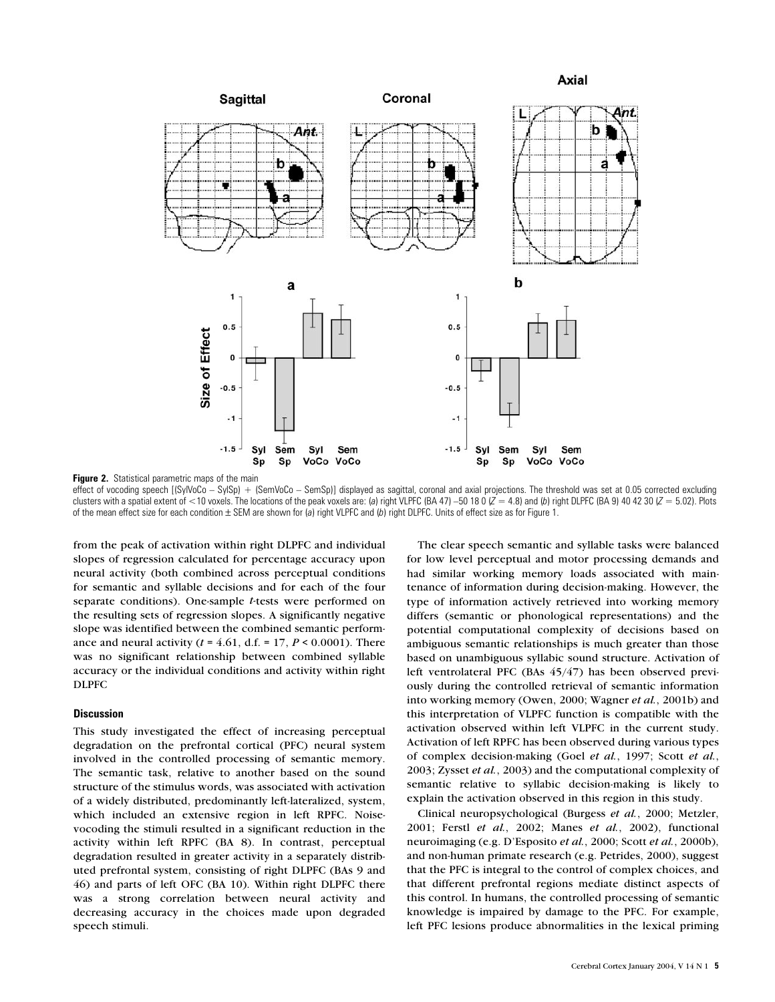

**Figure 2.** Statistical parametric maps of the main

effect of vocoding speech [(SylVoCo – SylSp) + (SemVoCo – SemSp)] displayed as sagittal, coronal and axial projections. The threshold was set at 0.05 corrected excluding clusters with a spatial extent of <10 voxels. The locations of the peak voxels are: (*a*) right VLPFC (BA 47) –50 18 0 (*Z* = 4.8) and (*b*) right DLPFC (BA 9) 40 42 30 (*Z* = 5.02). Plots of the mean effect size for each condition ± SEM are shown for (*a*) right VLPFC and (*b*) right DLPFC. Units of effect size as for Figure 1.

from the peak of activation within right DLPFC and individual slopes of regression calculated for percentage accuracy upon neural activity (both combined across perceptual conditions for semantic and syllable decisions and for each of the four separate conditions). One-sample *t-*tests were performed on the resulting sets of regression slopes. A significantly negative slope was identified between the combined semantic performance and neural activity  $(t = 4.61, d.f. = 17, P < 0.0001)$ . There was no significant relationship between combined syllable accuracy or the individual conditions and activity within right DLPFC

#### **Discussion**

This study investigated the effect of increasing perceptual degradation on the prefrontal cortical (PFC) neural system involved in the controlled processing of semantic memory. The semantic task, relative to another based on the sound structure of the stimulus words, was associated with activation of a widely distributed, predominantly left-lateralized, system, which included an extensive region in left RPFC. Noisevocoding the stimuli resulted in a significant reduction in the activity within left RPFC (BA 8). In contrast, perceptual degradation resulted in greater activity in a separately distributed prefrontal system, consisting of right DLPFC (BAs 9 and 46) and parts of left OFC (BA 10). Within right DLPFC there was a strong correlation between neural activity and decreasing accuracy in the choices made upon degraded speech stimuli.

The clear speech semantic and syllable tasks were balanced for low level perceptual and motor processing demands and had similar working memory loads associated with maintenance of information during decision-making. However, the type of information actively retrieved into working memory differs (semantic or phonological representations) and the potential computational complexity of decisions based on ambiguous semantic relationships is much greater than those based on unambiguous syllabic sound structure. Activation of left ventrolateral PFC (BAs 45/47) has been observed previously during the controlled retrieval of semantic information into working memory (Owen, 2000; Wagner *et al.*, 2001b) and this interpretation of VLPFC function is compatible with the activation observed within left VLPFC in the current study. Activation of left RPFC has been observed during various types of complex decision-making (Goel *et al.*, 1997; Scott *et al.*, 2003; Zysset *et al.*, 2003) and the computational complexity of semantic relative to syllabic decision-making is likely to explain the activation observed in this region in this study.

Clinical neuropsychological (Burgess *et al.*, 2000; Metzler, 2001; Ferstl *et al.*, 2002; Manes *et al.*, 2002), functional neuroimaging (e.g. D'Esposito *et al.*, 2000; Scott *et al.*, 2000b), and non-human primate research (e.g. Petrides, 2000), suggest that the PFC is integral to the control of complex choices, and that different prefrontal regions mediate distinct aspects of this control. In humans, the controlled processing of semantic knowledge is impaired by damage to the PFC. For example, left PFC lesions produce abnormalities in the lexical priming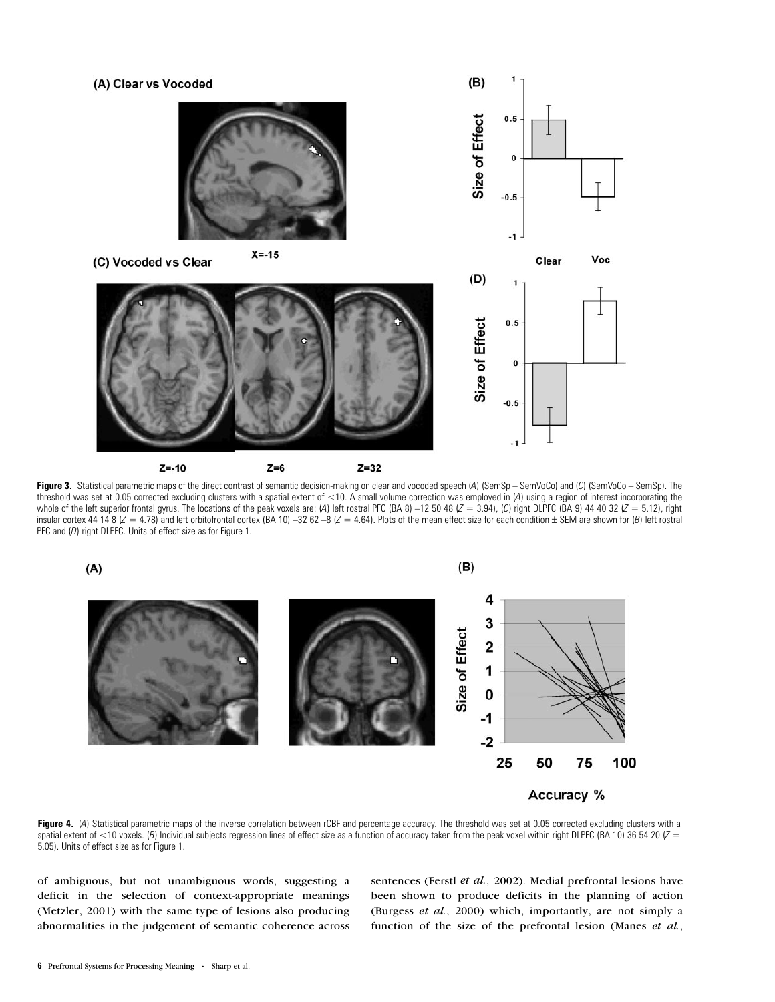

**Figure 3.** Statistical parametric maps of the direct contrast of semantic decision-making on clear and vocoded speech (*A*) (SemSp – SemVoCo) and (*C*) (SemVoCo – SemSp). The threshold was set at 0.05 corrected excluding clusters with a spatial extent of <10. A small volume correction was employed in (*A*) using a region of interest incorporating the whole of the left superior frontal gyrus. The locations of the peak voxels are: (A) left rostral PFC (BA 8) –12 50 48 ( $Z = 3.94$ ), (C) right DLPFC (BA 9) 44 40 32 ( $Z = 5.12$ ), right insular cortex 44 14 8  $\zeta = 4.78$ ) and left orbitofrontal cortex (BA 10) -32 62 -8  $\zeta = 4.64$ ). Plots of the mean effect size for each condition  $\pm$  SEM are shown for (*B*) left rostral PFC and (*D*) right DLPFC. Units of effect size as for Figure 1.

 $(A)$ 





Figure 4. (4) Statistical parametric maps of the inverse correlation between rCBF and percentage accuracy. The threshold was set at 0.05 corrected excluding clusters with a spatial extent of <10 voxels. (*B*) Individual subjects regression lines of effect size as a function of accuracy taken from the peak voxel within right DLPFC (BA 10) 36 54 20 (*Z* = 5.05). Units of effect size as for Figure 1.

of ambiguous, but not unambiguous words, suggesting a deficit in the selection of context-appropriate meanings (Metzler, 2001) with the same type of lesions also producing abnormalities in the judgement of semantic coherence across

sentences (Ferstl *et al.*, 2002). Medial prefrontal lesions have been shown to produce deficits in the planning of action (Burgess *et al.*, 2000) which, importantly, are not simply a function of the size of the prefrontal lesion (Manes *et al.*,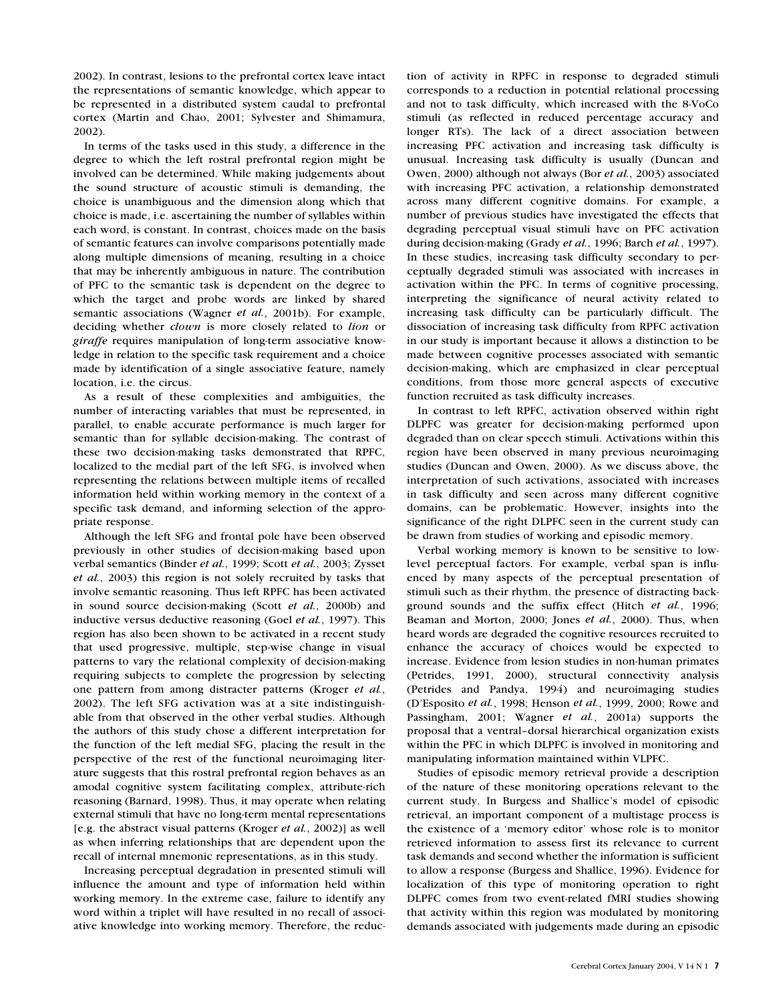2002). In contrast, lesions to the prefrontal cortex leave intact the representations of semantic knowledge, which appear to be represented in a distributed system caudal to prefrontal cortex (Martin and Chao, 2001; Sylvester and Shimamura, 2002).

In terms of the tasks used in this study, a difference in the degree to which the left rostral prefrontal region might be involved can be determined. While making judgements about the sound structure of acoustic stimuli is demanding, the choice is unambiguous and the dimension along which that choice is made, i.e. ascertaining the number of syllables within each word, is constant. In contrast, choices made on the basis of semantic features can involve comparisons potentially made along multiple dimensions of meaning, resulting in a choice that may be inherently ambiguous in nature. The contribution of PFC to the semantic task is dependent on the degree to which the target and probe words are linked by shared semantic associations (Wagner *et al.*, 2001b). For example, deciding whether *clown* is more closely related to *lion* or *giraffe* requires manipulation of long-term associative knowledge in relation to the specific task requirement and a choice made by identification of a single associative feature, namely location, i.e. the circus.

As a result of these complexities and ambiguities, the number of interacting variables that must be represented, in parallel, to enable accurate performance is much larger for semantic than for syllable decision-making. The contrast of these two decision-making tasks demonstrated that RPFC, localized to the medial part of the left SFG, is involved when representing the relations between multiple items of recalled information held within working memory in the context of a specific task demand, and informing selection of the appropriate response.

Although the left SFG and frontal pole have been observed previously in other studies of decision-making based upon verbal semantics (Binder *et al.*, 1999; Scott *et al.*, 2003; Zysset *et al.*, 2003) this region is not solely recruited by tasks that involve semantic reasoning. Thus left RPFC has been activated in sound source decision-making (Scott *et al.*, 2000b) and inductive versus deductive reasoning (Goel *et al.*, 1997). This region has also been shown to be activated in a recent study that used progressive, multiple, step-wise change in visual patterns to vary the relational complexity of decision-making requiring subjects to complete the progression by selecting one pattern from among distracter patterns (Kroger *et al.*, 2002). The left SFG activation was at a site indistinguishable from that observed in the other verbal studies. Although the authors of this study chose a different interpretation for the function of the left medial SFG, placing the result in the perspective of the rest of the functional neuroimaging literature suggests that this rostral prefrontal region behaves as an amodal cognitive system facilitating complex, attribute-rich reasoning (Barnard, 1998). Thus, it may operate when relating external stimuli that have no long-term mental representations [e.g. the abstract visual patterns (Kroger *et al.*, 2002)] as well as when inferring relationships that are dependent upon the recall of internal mnemonic representations, as in this study.

Increasing perceptual degradation in presented stimuli will influence the amount and type of information held within working memory. In the extreme case, failure to identify any word within a triplet will have resulted in no recall of associative knowledge into working memory. Therefore, the reduction of activity in RPFC in response to degraded stimuli corresponds to a reduction in potential relational processing and not to task difficulty, which increased with the 8-VoCo stimuli (as reflected in reduced percentage accuracy and longer RTs). The lack of a direct association between increasing PFC activation and increasing task difficulty is unusual. Increasing task difficulty is usually (Duncan and Owen, 2000) although not always (Bor *et al.*, 2003) associated with increasing PFC activation, a relationship demonstrated across many different cognitive domains. For example, a number of previous studies have investigated the effects that degrading perceptual visual stimuli have on PFC activation during decision-making (Grady *et al.*, 1996; Barch *et al.*, 1997). In these studies, increasing task difficulty secondary to perceptually degraded stimuli was associated with increases in activation within the PFC. In terms of cognitive processing, interpreting the significance of neural activity related to increasing task difficulty can be particularly difficult. The dissociation of increasing task difficulty from RPFC activation in our study is important because it allows a distinction to be made between cognitive processes associated with semantic decision-making, which are emphasized in clear perceptual conditions, from those more general aspects of executive function recruited as task difficulty increases.

In contrast to left RPFC, activation observed within right DLPFC was greater for decision-making performed upon degraded than on clear speech stimuli. Activations within this region have been observed in many previous neuroimaging studies (Duncan and Owen, 2000). As we discuss above, the interpretation of such activations, associated with increases in task difficulty and seen across many different cognitive domains, can be problematic. However, insights into the significance of the right DLPFC seen in the current study can be drawn from studies of working and episodic memory.

Verbal working memory is known to be sensitive to lowlevel perceptual factors. For example, verbal span is influenced by many aspects of the perceptual presentation of stimuli such as their rhythm, the presence of distracting background sounds and the suffix effect (Hitch *et al.*, 1996; Beaman and Morton, 2000; Jones *et al.*, 2000). Thus, when heard words are degraded the cognitive resources recruited to enhance the accuracy of choices would be expected to increase. Evidence from lesion studies in non-human primates (Petrides, 1991, 2000), structural connectivity analysis (Petrides and Pandya, 1994) and neuroimaging studies (D'Esposito *et al.*, 1998; Henson *et al.*, 1999, 2000; Rowe and Passingham, 2001; Wagner *et al.*, 2001a) supports the proposal that a ventral–dorsal hierarchical organization exists within the PFC in which DLPFC is involved in monitoring and manipulating information maintained within VLPFC.

Studies of episodic memory retrieval provide a description of the nature of these monitoring operations relevant to the current study. In Burgess and Shallice's model of episodic retrieval, an important component of a multistage process is the existence of a 'memory editor' whose role is to monitor retrieved information to assess first its relevance to current task demands and second whether the information is sufficient to allow a response (Burgess and Shallice, 1996). Evidence for localization of this type of monitoring operation to right DLPFC comes from two event-related fMRI studies showing that activity within this region was modulated by monitoring demands associated with judgements made during an episodic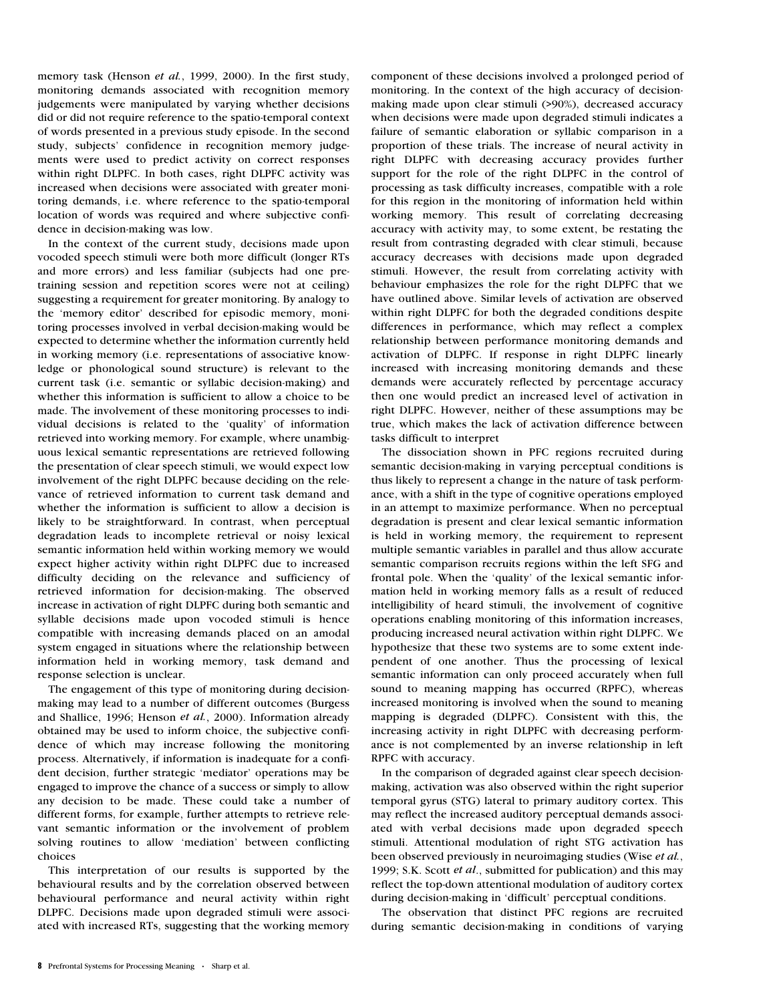memory task (Henson *et al.*, 1999, 2000). In the first study, monitoring demands associated with recognition memory judgements were manipulated by varying whether decisions did or did not require reference to the spatio-temporal context of words presented in a previous study episode. In the second study, subjects' confidence in recognition memory judgements were used to predict activity on correct responses within right DLPFC. In both cases, right DLPFC activity was increased when decisions were associated with greater monitoring demands, i.e. where reference to the spatio-temporal location of words was required and where subjective confidence in decision-making was low.

In the context of the current study, decisions made upon vocoded speech stimuli were both more difficult (longer RTs and more errors) and less familiar (subjects had one pretraining session and repetition scores were not at ceiling) suggesting a requirement for greater monitoring. By analogy to the 'memory editor' described for episodic memory, monitoring processes involved in verbal decision-making would be expected to determine whether the information currently held in working memory (i.e. representations of associative knowledge or phonological sound structure) is relevant to the current task (i.e. semantic or syllabic decision-making) and whether this information is sufficient to allow a choice to be made. The involvement of these monitoring processes to individual decisions is related to the 'quality' of information retrieved into working memory. For example, where unambiguous lexical semantic representations are retrieved following the presentation of clear speech stimuli, we would expect low involvement of the right DLPFC because deciding on the relevance of retrieved information to current task demand and whether the information is sufficient to allow a decision is likely to be straightforward. In contrast, when perceptual degradation leads to incomplete retrieval or noisy lexical semantic information held within working memory we would expect higher activity within right DLPFC due to increased difficulty deciding on the relevance and sufficiency of retrieved information for decision-making. The observed increase in activation of right DLPFC during both semantic and syllable decisions made upon vocoded stimuli is hence compatible with increasing demands placed on an amodal system engaged in situations where the relationship between information held in working memory, task demand and response selection is unclear.

The engagement of this type of monitoring during decisionmaking may lead to a number of different outcomes (Burgess and Shallice, 1996; Henson *et al.*, 2000). Information already obtained may be used to inform choice, the subjective confidence of which may increase following the monitoring process. Alternatively, if information is inadequate for a confident decision, further strategic 'mediator' operations may be engaged to improve the chance of a success or simply to allow any decision to be made. These could take a number of different forms, for example, further attempts to retrieve relevant semantic information or the involvement of problem solving routines to allow 'mediation' between conflicting choices

This interpretation of our results is supported by the behavioural results and by the correlation observed between behavioural performance and neural activity within right DLPFC. Decisions made upon degraded stimuli were associated with increased RTs, suggesting that the working memory component of these decisions involved a prolonged period of monitoring. In the context of the high accuracy of decisionmaking made upon clear stimuli (>90%), decreased accuracy when decisions were made upon degraded stimuli indicates a failure of semantic elaboration or syllabic comparison in a proportion of these trials. The increase of neural activity in right DLPFC with decreasing accuracy provides further support for the role of the right DLPFC in the control of processing as task difficulty increases, compatible with a role for this region in the monitoring of information held within working memory. This result of correlating decreasing accuracy with activity may, to some extent, be restating the result from contrasting degraded with clear stimuli, because accuracy decreases with decisions made upon degraded stimuli. However, the result from correlating activity with behaviour emphasizes the role for the right DLPFC that we have outlined above. Similar levels of activation are observed within right DLPFC for both the degraded conditions despite differences in performance, which may reflect a complex relationship between performance monitoring demands and activation of DLPFC. If response in right DLPFC linearly increased with increasing monitoring demands and these demands were accurately reflected by percentage accuracy then one would predict an increased level of activation in right DLPFC. However, neither of these assumptions may be true, which makes the lack of activation difference between tasks difficult to interpret

The dissociation shown in PFC regions recruited during semantic decision-making in varying perceptual conditions is thus likely to represent a change in the nature of task performance, with a shift in the type of cognitive operations employed in an attempt to maximize performance. When no perceptual degradation is present and clear lexical semantic information is held in working memory, the requirement to represent multiple semantic variables in parallel and thus allow accurate semantic comparison recruits regions within the left SFG and frontal pole. When the 'quality' of the lexical semantic information held in working memory falls as a result of reduced intelligibility of heard stimuli, the involvement of cognitive operations enabling monitoring of this information increases, producing increased neural activation within right DLPFC. We hypothesize that these two systems are to some extent independent of one another. Thus the processing of lexical semantic information can only proceed accurately when full sound to meaning mapping has occurred (RPFC), whereas increased monitoring is involved when the sound to meaning mapping is degraded (DLPFC). Consistent with this, the increasing activity in right DLPFC with decreasing performance is not complemented by an inverse relationship in left RPFC with accuracy.

In the comparison of degraded against clear speech decisionmaking, activation was also observed within the right superior temporal gyrus (STG) lateral to primary auditory cortex. This may reflect the increased auditory perceptual demands associated with verbal decisions made upon degraded speech stimuli. Attentional modulation of right STG activation has been observed previously in neuroimaging studies (Wise *et al.*, 1999; S.K. Scott *et al*., submitted for publication) and this may reflect the top-down attentional modulation of auditory cortex during decision-making in 'difficult' perceptual conditions.

The observation that distinct PFC regions are recruited during semantic decision-making in conditions of varying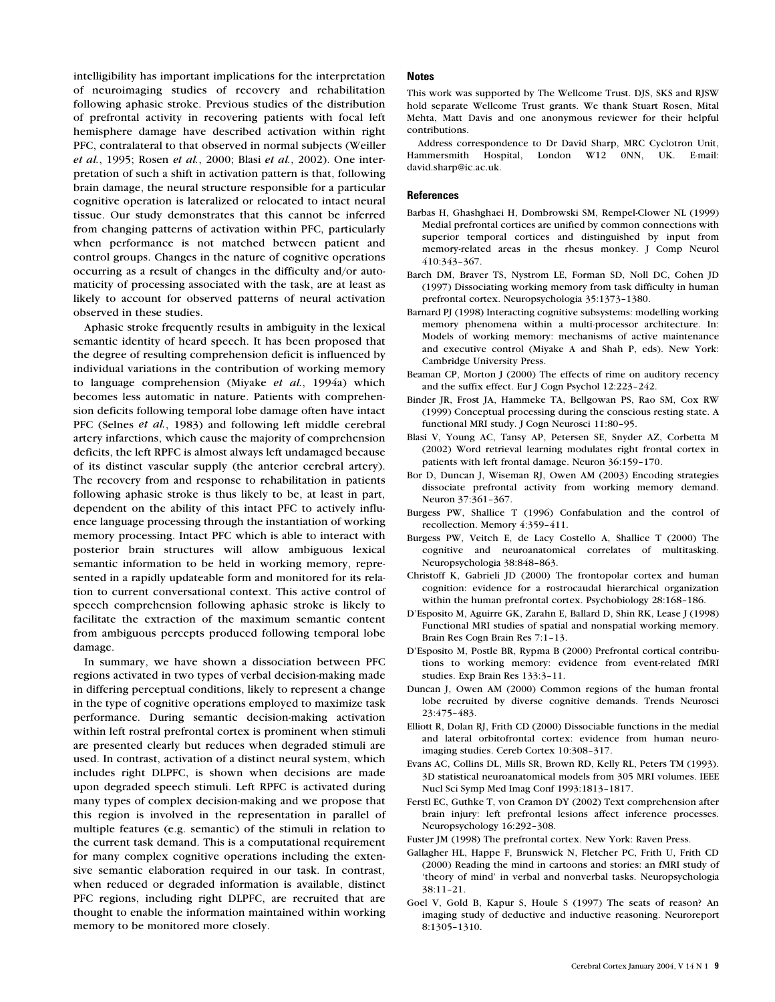intelligibility has important implications for the interpretation of neuroimaging studies of recovery and rehabilitation following aphasic stroke. Previous studies of the distribution of prefrontal activity in recovering patients with focal left hemisphere damage have described activation within right PFC, contralateral to that observed in normal subjects (Weiller *et al.*, 1995; Rosen *et al.*, 2000; Blasi *et al.*, 2002). One interpretation of such a shift in activation pattern is that, following brain damage, the neural structure responsible for a particular cognitive operation is lateralized or relocated to intact neural tissue. Our study demonstrates that this cannot be inferred from changing patterns of activation within PFC, particularly when performance is not matched between patient and control groups. Changes in the nature of cognitive operations occurring as a result of changes in the difficulty and/or automaticity of processing associated with the task, are at least as likely to account for observed patterns of neural activation observed in these studies.

Aphasic stroke frequently results in ambiguity in the lexical semantic identity of heard speech. It has been proposed that the degree of resulting comprehension deficit is influenced by individual variations in the contribution of working memory to language comprehension (Miyake *et al.*, 1994a) which becomes less automatic in nature. Patients with comprehension deficits following temporal lobe damage often have intact PFC (Selnes *et al.*, 1983) and following left middle cerebral artery infarctions, which cause the majority of comprehension deficits, the left RPFC is almost always left undamaged because of its distinct vascular supply (the anterior cerebral artery). The recovery from and response to rehabilitation in patients following aphasic stroke is thus likely to be, at least in part, dependent on the ability of this intact PFC to actively influence language processing through the instantiation of working memory processing. Intact PFC which is able to interact with posterior brain structures will allow ambiguous lexical semantic information to be held in working memory, represented in a rapidly updateable form and monitored for its relation to current conversational context. This active control of speech comprehension following aphasic stroke is likely to facilitate the extraction of the maximum semantic content from ambiguous percepts produced following temporal lobe damage.

In summary, we have shown a dissociation between PFC regions activated in two types of verbal decision-making made in differing perceptual conditions, likely to represent a change in the type of cognitive operations employed to maximize task performance. During semantic decision-making activation within left rostral prefrontal cortex is prominent when stimuli are presented clearly but reduces when degraded stimuli are used. In contrast, activation of a distinct neural system, which includes right DLPFC, is shown when decisions are made upon degraded speech stimuli. Left RPFC is activated during many types of complex decision-making and we propose that this region is involved in the representation in parallel of multiple features (e.g. semantic) of the stimuli in relation to the current task demand. This is a computational requirement for many complex cognitive operations including the extensive semantic elaboration required in our task. In contrast, when reduced or degraded information is available, distinct PFC regions, including right DLPFC, are recruited that are thought to enable the information maintained within working memory to be monitored more closely.

#### **Notes**

This work was supported by The Wellcome Trust. DJS, SKS and RJSW hold separate Wellcome Trust grants. We thank Stuart Rosen, Mital Mehta, Matt Davis and one anonymous reviewer for their helpful contributions.

Address correspondence to Dr David Sharp, MRC Cyclotron Unit, Hammersmith Hospital, London W12 0NN, UK. E-mail: david.sharp@ic.ac.uk.

#### **References**

- Barbas H, Ghashghaei H, Dombrowski SM, Rempel-Clower NL (1999) Medial prefrontal cortices are unified by common connections with superior temporal cortices and distinguished by input from memory-related areas in the rhesus monkey. J Comp Neurol 410:343–367.
- Barch DM, Braver TS, Nystrom LE, Forman SD, Noll DC, Cohen JD (1997) Dissociating working memory from task difficulty in human prefrontal cortex. Neuropsychologia 35:1373–1380.
- Barnard PJ (1998) Interacting cognitive subsystems: modelling working memory phenomena within a multi-processor architecture. In: Models of working memory: mechanisms of active maintenance and executive control (Miyake A and Shah P, eds). New York: Cambridge University Press.
- Beaman CP, Morton J (2000) The effects of rime on auditory recency and the suffix effect. Eur J Cogn Psychol 12:223–242.
- Binder JR, Frost JA, Hammeke TA, Bellgowan PS, Rao SM, Cox RW (1999) Conceptual processing during the conscious resting state. A functional MRI study. J Cogn Neurosci 11:80–95.
- Blasi V, Young AC, Tansy AP, Petersen SE, Snyder AZ, Corbetta M (2002) Word retrieval learning modulates right frontal cortex in patients with left frontal damage. Neuron 36:159–170.
- Bor D, Duncan J, Wiseman RJ, Owen AM (2003) Encoding strategies dissociate prefrontal activity from working memory demand. Neuron 37:361–367.
- Burgess PW, Shallice T (1996) Confabulation and the control of recollection. Memory 4:359–411.
- Burgess PW, Veitch E, de Lacy Costello A, Shallice T (2000) The cognitive and neuroanatomical correlates of multitasking. Neuropsychologia 38:848–863.
- Christoff K, Gabrieli JD (2000) The frontopolar cortex and human cognition: evidence for a rostrocaudal hierarchical organization within the human prefrontal cortex. Psychobiology 28:168–186.
- D'Esposito M, Aguirre GK, Zarahn E, Ballard D, Shin RK, Lease J (1998) Functional MRI studies of spatial and nonspatial working memory. Brain Res Cogn Brain Res 7:1–13.
- D'Esposito M, Postle BR, Rypma B (2000) Prefrontal cortical contributions to working memory: evidence from event-related fMRI studies. Exp Brain Res 133:3–11.
- Duncan J, Owen AM (2000) Common regions of the human frontal lobe recruited by diverse cognitive demands. Trends Neurosci 23:475–483.
- Elliott R, Dolan RJ, Frith CD (2000) Dissociable functions in the medial and lateral orbitofrontal cortex: evidence from human neuroimaging studies. Cereb Cortex 10:308–317.
- Evans AC, Collins DL, Mills SR, Brown RD, Kelly RL, Peters TM (1993). 3D statistical neuroanatomical models from 305 MRI volumes. IEEE Nucl Sci Symp Med Imag Conf 1993:1813–1817.
- Ferstl EC, Guthke T, von Cramon DY (2002) Text comprehension after brain injury: left prefrontal lesions affect inference processes. Neuropsychology 16:292–308.
- Fuster JM (1998) The prefrontal cortex. New York: Raven Press.
- Gallagher HL, Happe F, Brunswick N, Fletcher PC, Frith U, Frith CD (2000) Reading the mind in cartoons and stories: an fMRI study of 'theory of mind' in verbal and nonverbal tasks. Neuropsychologia 38:11–21.
- Goel V, Gold B, Kapur S, Houle S (1997) The seats of reason? An imaging study of deductive and inductive reasoning. Neuroreport 8:1305–1310.